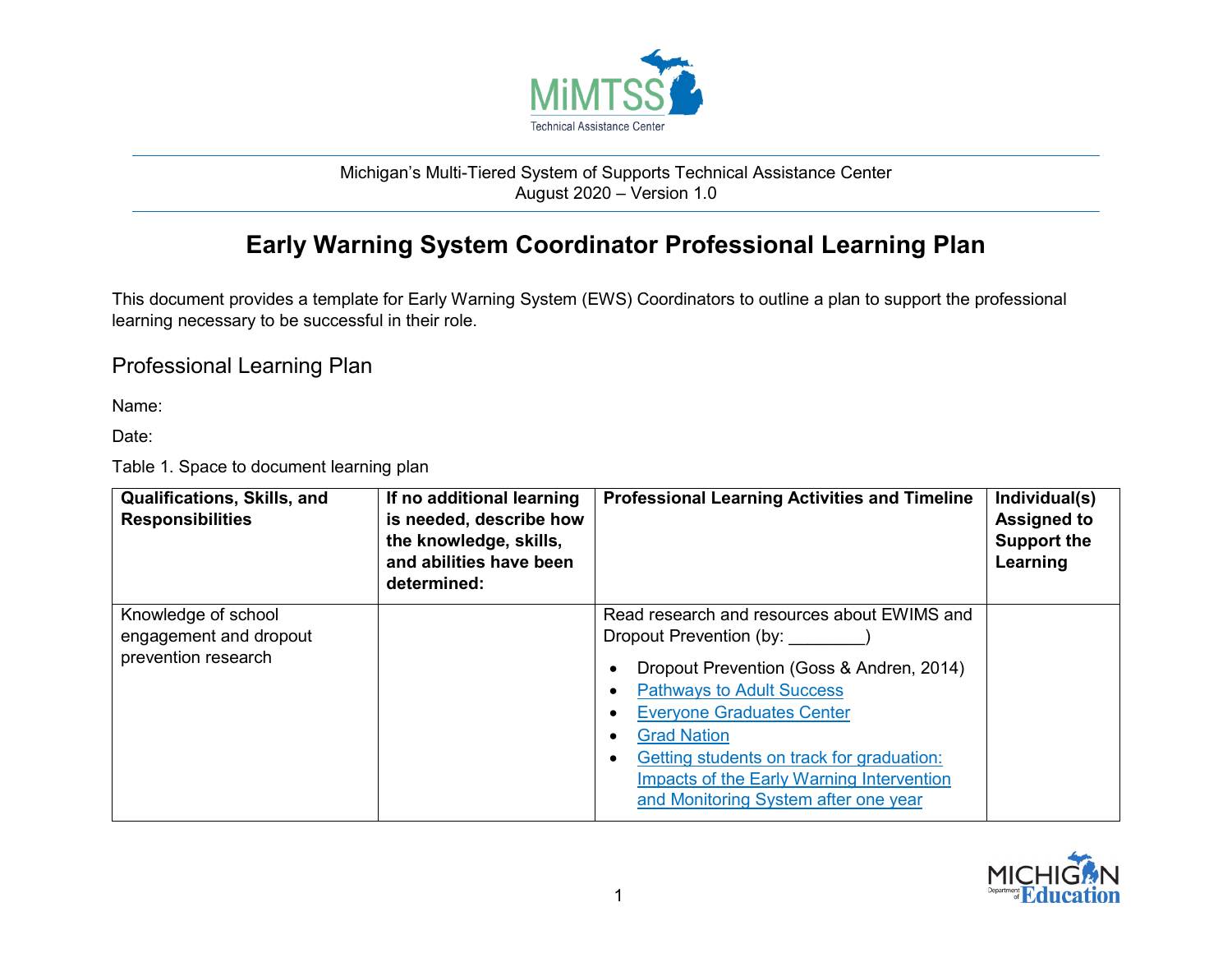

## Michigan's Multi-Tiered System of Supports Technical Assistance Center August 2020 – Version 1.0

## **Early Warning System Coordinator Professional Learning Plan**

This document provides a template for Early Warning System (EWS) Coordinators to outline a plan to support the professional learning necessary to be successful in their role.

## Professional Learning Plan

Name:

Date:

Table 1. Space to document learning plan

| <b>Qualifications, Skills, and</b><br><b>Responsibilities</b>        | If no additional learning<br>is needed, describe how<br>the knowledge, skills,<br>and abilities have been<br>determined: | <b>Professional Learning Activities and Timeline</b>                                                                                                                                                                                                                                                                                                      | Individual(s)<br><b>Assigned to</b><br><b>Support the</b><br>Learning |
|----------------------------------------------------------------------|--------------------------------------------------------------------------------------------------------------------------|-----------------------------------------------------------------------------------------------------------------------------------------------------------------------------------------------------------------------------------------------------------------------------------------------------------------------------------------------------------|-----------------------------------------------------------------------|
| Knowledge of school<br>engagement and dropout<br>prevention research |                                                                                                                          | Read research and resources about EWIMS and<br>Dropout Prevention (by:<br>Dropout Prevention (Goss & Andren, 2014)<br><b>Pathways to Adult Success</b><br><b>Everyone Graduates Center</b><br><b>Grad Nation</b><br>Getting students on track for graduation:<br><b>Impacts of the Early Warning Intervention</b><br>and Monitoring System after one year |                                                                       |

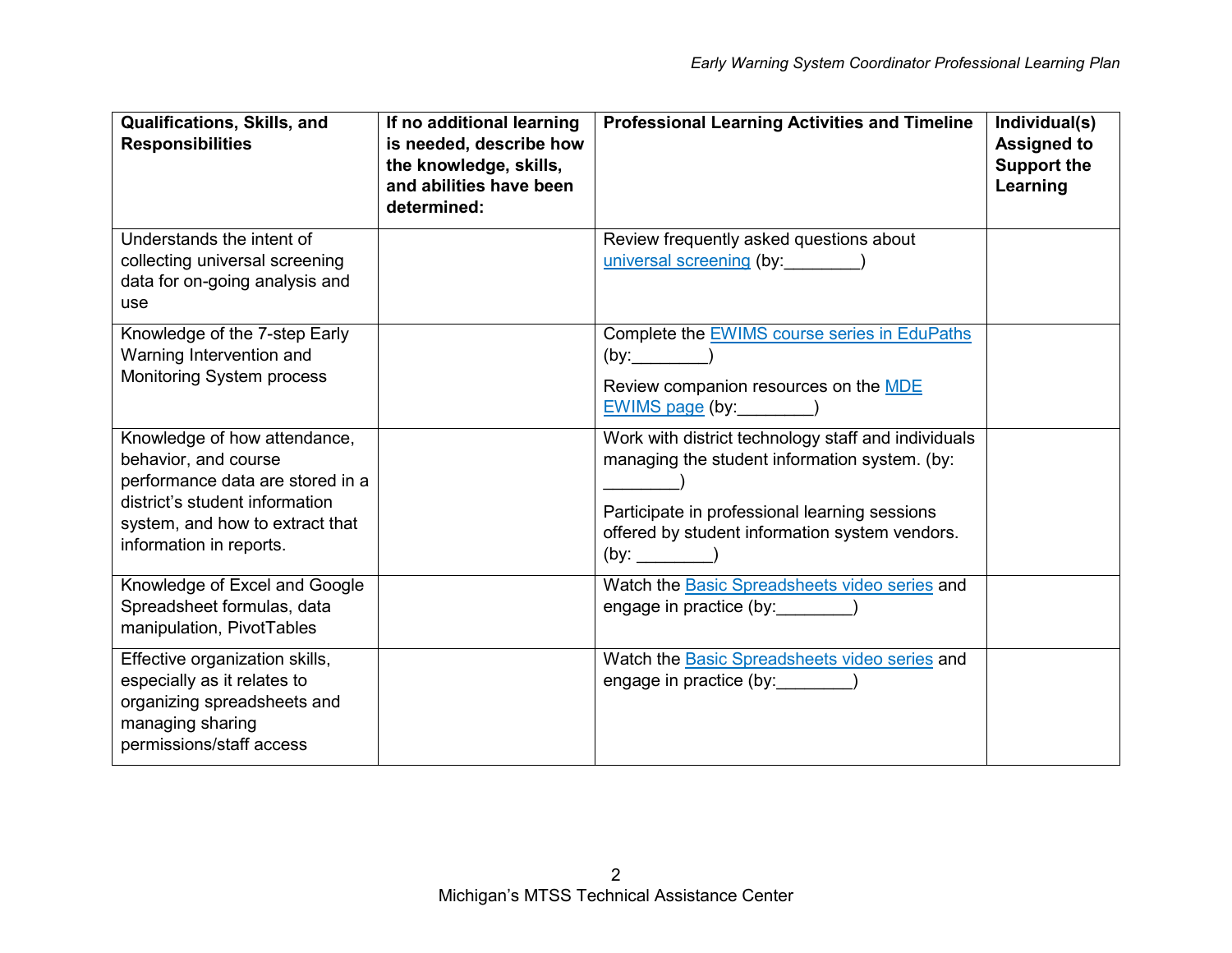| Qualifications, Skills, and<br><b>Responsibilities</b>                                                                                                                                   | If no additional learning<br>is needed, describe how<br>the knowledge, skills,<br>and abilities have been<br>determined: | <b>Professional Learning Activities and Timeline</b>                                                                                                                                                                   | Individual(s)<br><b>Assigned to</b><br><b>Support the</b><br>Learning |
|------------------------------------------------------------------------------------------------------------------------------------------------------------------------------------------|--------------------------------------------------------------------------------------------------------------------------|------------------------------------------------------------------------------------------------------------------------------------------------------------------------------------------------------------------------|-----------------------------------------------------------------------|
| Understands the intent of<br>collecting universal screening<br>data for on-going analysis and<br>use                                                                                     |                                                                                                                          | Review frequently asked questions about<br>universal screening (by: ________)                                                                                                                                          |                                                                       |
| Knowledge of the 7-step Early<br>Warning Intervention and<br>Monitoring System process                                                                                                   |                                                                                                                          | Complete the EWIMS course series in EduPaths<br>(by:<br>Review companion resources on the MDE<br>$EWIMS$ page (by: __________)                                                                                         |                                                                       |
| Knowledge of how attendance,<br>behavior, and course<br>performance data are stored in a<br>district's student information<br>system, and how to extract that<br>information in reports. |                                                                                                                          | Work with district technology staff and individuals<br>managing the student information system. (by:<br>Participate in professional learning sessions<br>offered by student information system vendors.<br>$(by:$ $()$ |                                                                       |
| Knowledge of Excel and Google<br>Spreadsheet formulas, data<br>manipulation, PivotTables                                                                                                 |                                                                                                                          | Watch the <b>Basic Spreadsheets video series</b> and<br>engage in practice (by:                                                                                                                                        |                                                                       |
| Effective organization skills,<br>especially as it relates to<br>organizing spreadsheets and<br>managing sharing<br>permissions/staff access                                             |                                                                                                                          | Watch the <b>Basic Spreadsheets video series</b> and<br>engage in practice (by: )                                                                                                                                      |                                                                       |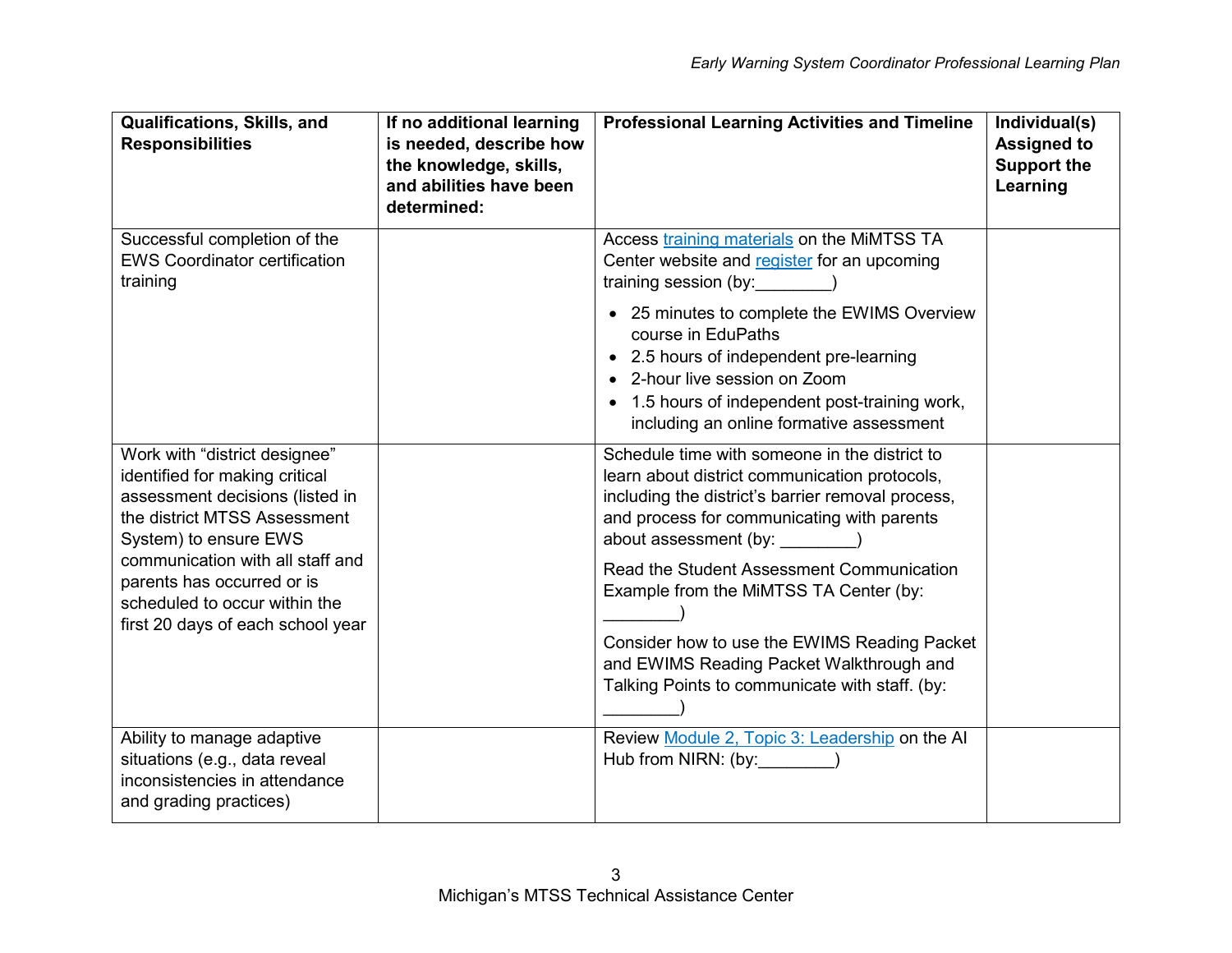| Qualifications, Skills, and<br><b>Responsibilities</b>                                                                                                                                                                                                                                              | If no additional learning<br>is needed, describe how<br>the knowledge, skills,<br>and abilities have been<br>determined: | <b>Professional Learning Activities and Timeline</b>                                                                                                                                                                                                                                                                                                                                                                                                                      | Individual(s)<br><b>Assigned to</b><br><b>Support the</b><br>Learning |
|-----------------------------------------------------------------------------------------------------------------------------------------------------------------------------------------------------------------------------------------------------------------------------------------------------|--------------------------------------------------------------------------------------------------------------------------|---------------------------------------------------------------------------------------------------------------------------------------------------------------------------------------------------------------------------------------------------------------------------------------------------------------------------------------------------------------------------------------------------------------------------------------------------------------------------|-----------------------------------------------------------------------|
| Successful completion of the<br><b>EWS Coordinator certification</b><br>training                                                                                                                                                                                                                    |                                                                                                                          | Access training materials on the MiMTSS TA<br>Center website and register for an upcoming<br>training session (by:<br>• 25 minutes to complete the EWIMS Overview<br>course in EduPaths<br>• 2.5 hours of independent pre-learning<br>• 2-hour live session on Zoom<br>• 1.5 hours of independent post-training work,<br>including an online formative assessment                                                                                                         |                                                                       |
| Work with "district designee"<br>identified for making critical<br>assessment decisions (listed in<br>the district MTSS Assessment<br>System) to ensure EWS<br>communication with all staff and<br>parents has occurred or is<br>scheduled to occur within the<br>first 20 days of each school year |                                                                                                                          | Schedule time with someone in the district to<br>learn about district communication protocols,<br>including the district's barrier removal process,<br>and process for communicating with parents<br>about assessment (by: ________)<br>Read the Student Assessment Communication<br>Example from the MiMTSS TA Center (by:<br>Consider how to use the EWIMS Reading Packet<br>and EWIMS Reading Packet Walkthrough and<br>Talking Points to communicate with staff. (by: |                                                                       |
| Ability to manage adaptive<br>situations (e.g., data reveal<br>inconsistencies in attendance<br>and grading practices)                                                                                                                                                                              |                                                                                                                          | Review Module 2, Topic 3: Leadership on the AI<br>Hub from NIRN: (by:                                                                                                                                                                                                                                                                                                                                                                                                     |                                                                       |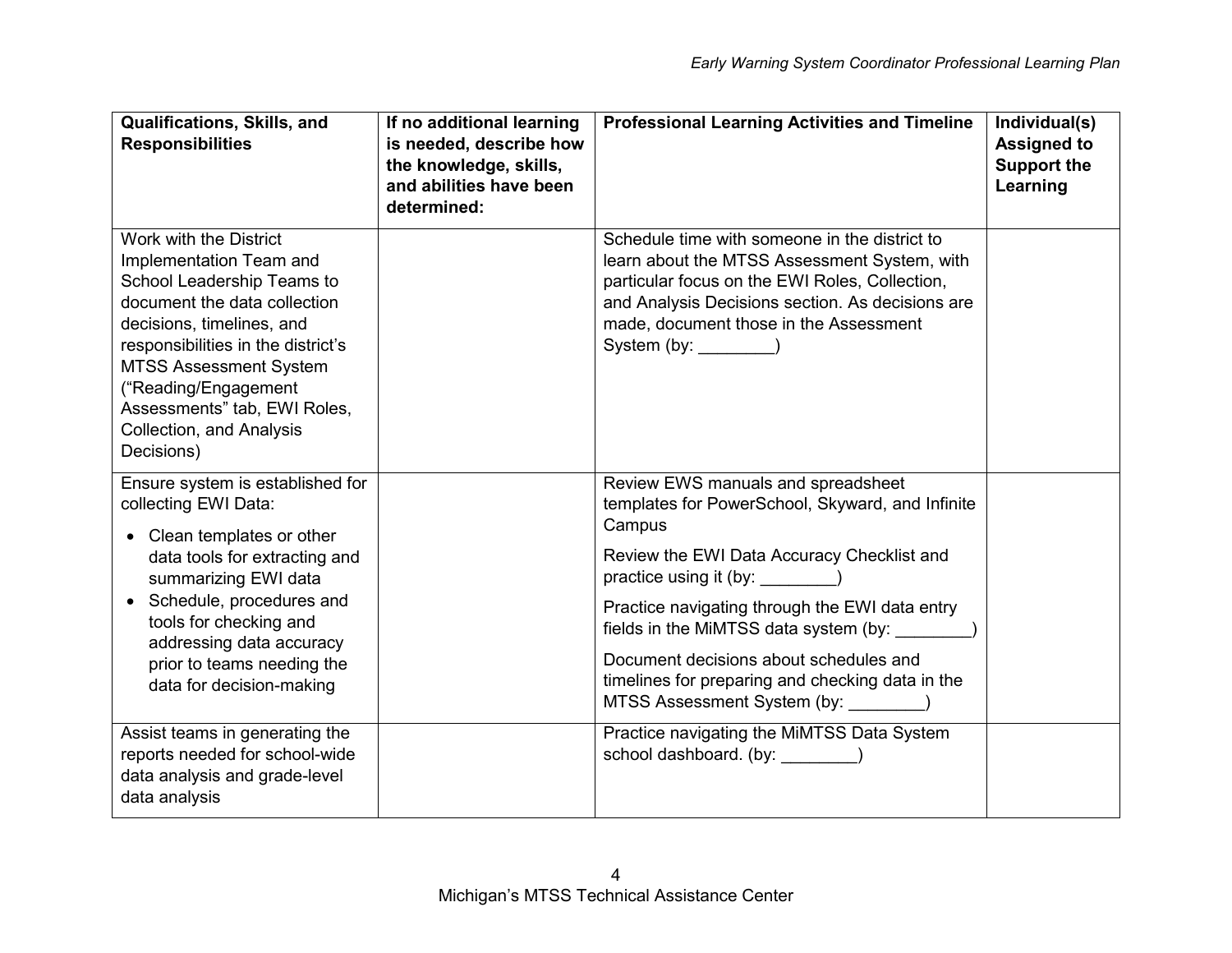| Qualifications, Skills, and<br><b>Responsibilities</b>                                                                                                                                                                                                                                                                | If no additional learning<br>is needed, describe how<br>the knowledge, skills,<br>and abilities have been<br>determined: | <b>Professional Learning Activities and Timeline</b>                                                                                                                                                                                                                                                                                                                                                                         | Individual(s)<br><b>Assigned to</b><br><b>Support the</b><br>Learning |
|-----------------------------------------------------------------------------------------------------------------------------------------------------------------------------------------------------------------------------------------------------------------------------------------------------------------------|--------------------------------------------------------------------------------------------------------------------------|------------------------------------------------------------------------------------------------------------------------------------------------------------------------------------------------------------------------------------------------------------------------------------------------------------------------------------------------------------------------------------------------------------------------------|-----------------------------------------------------------------------|
| Work with the District<br>Implementation Team and<br>School Leadership Teams to<br>document the data collection<br>decisions, timelines, and<br>responsibilities in the district's<br><b>MTSS Assessment System</b><br>("Reading/Engagement<br>Assessments" tab, EWI Roles,<br>Collection, and Analysis<br>Decisions) |                                                                                                                          | Schedule time with someone in the district to<br>learn about the MTSS Assessment System, with<br>particular focus on the EWI Roles, Collection,<br>and Analysis Decisions section. As decisions are<br>made, document those in the Assessment<br>System (by: _________)                                                                                                                                                      |                                                                       |
| Ensure system is established for<br>collecting EWI Data:<br>Clean templates or other<br>$\bullet$<br>data tools for extracting and<br>summarizing EWI data<br>Schedule, procedures and<br>tools for checking and<br>addressing data accuracy<br>prior to teams needing the<br>data for decision-making                |                                                                                                                          | Review EWS manuals and spreadsheet<br>templates for PowerSchool, Skyward, and Infinite<br>Campus<br>Review the EWI Data Accuracy Checklist and<br>practice using it (by: _________)<br>Practice navigating through the EWI data entry<br>fields in the MiMTSS data system (by: ______<br>Document decisions about schedules and<br>timelines for preparing and checking data in the<br>MTSS Assessment System (by: ________) |                                                                       |
| Assist teams in generating the<br>reports needed for school-wide<br>data analysis and grade-level<br>data analysis                                                                                                                                                                                                    |                                                                                                                          | Practice navigating the MiMTSS Data System<br>school dashboard. (by: ________)                                                                                                                                                                                                                                                                                                                                               |                                                                       |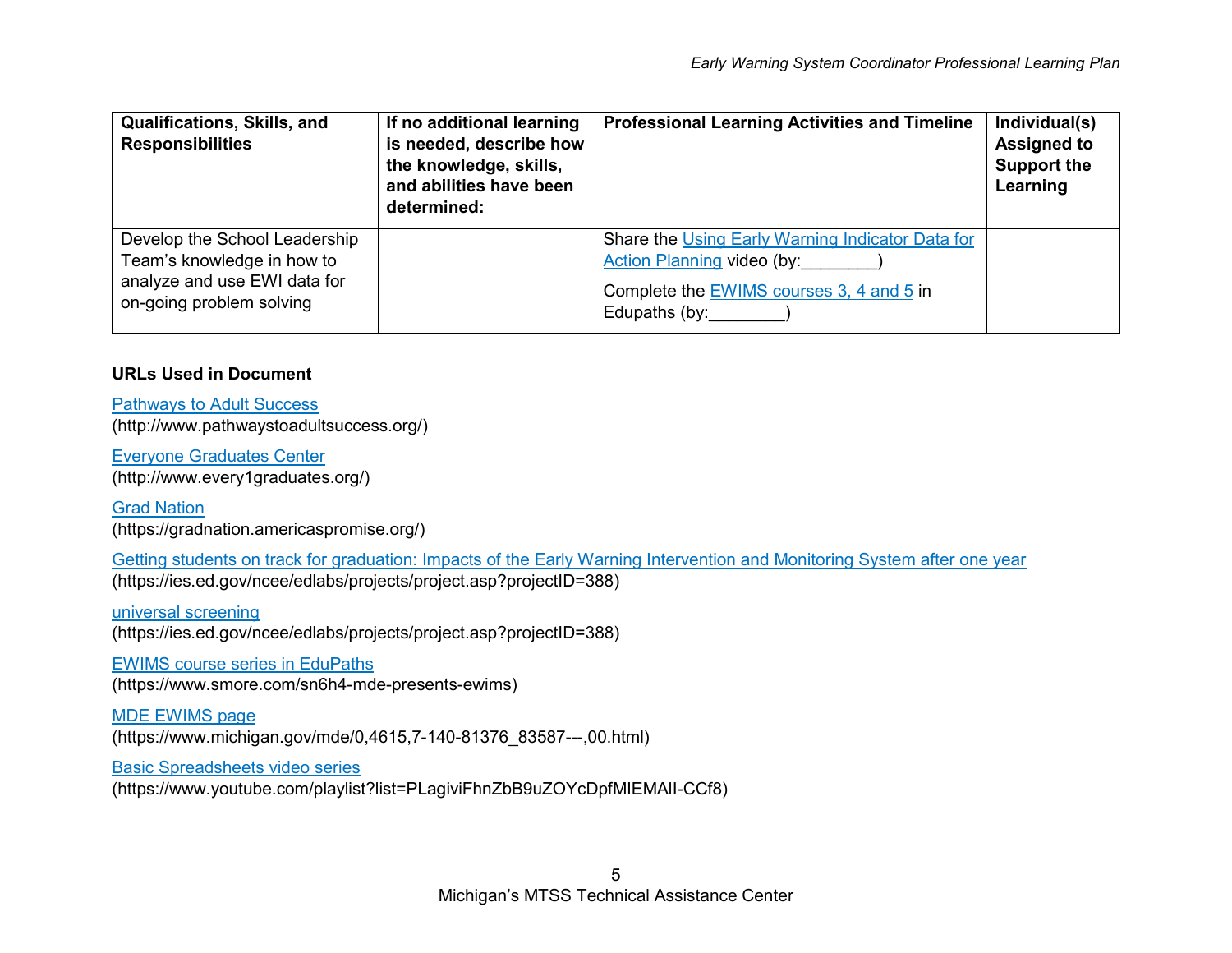| <b>Qualifications, Skills, and</b><br><b>Responsibilities</b>                                                           | If no additional learning<br>is needed, describe how<br>the knowledge, skills,<br>and abilities have been<br>determined: | <b>Professional Learning Activities and Timeline</b>                                                                                                   | Individual(s)<br><b>Assigned to</b><br><b>Support the</b><br>Learning |
|-------------------------------------------------------------------------------------------------------------------------|--------------------------------------------------------------------------------------------------------------------------|--------------------------------------------------------------------------------------------------------------------------------------------------------|-----------------------------------------------------------------------|
| Develop the School Leadership<br>Team's knowledge in how to<br>analyze and use EWI data for<br>on-going problem solving |                                                                                                                          | Share the Using Early Warning Indicator Data for<br>Action Planning video (by:<br>Complete the EWIMS courses 3, 4 and 5 in<br>Edupaths (by: _________) |                                                                       |

## **URLs Used in Document**

[Pathways to Adult Success](http://www.pathwaystoadultsuccess.org/) [\(http://www.pathwaystoadultsuccess.org/\)](http://www.pathwaystoadultsuccess.org/)

[Everyone Graduates Center](http://www.every1graduates.org/) [\(http://www.every1graduates.org/\)](http://www.every1graduates.org/)

[Grad Nation](https://gradnation.americaspromise.org/) [\(https://gradnation.americaspromise.org/\)](https://gradnation.americaspromise.org/)

[Getting students on track for graduation: Impacts of the Early Warning Intervention and Monitoring System after one year](https://ies.ed.gov/ncee/edlabs/projects/project.asp?projectID=388) (https://ies.ed.gov/ncee/edlabs/projects/project.asp?projectID=388)

[universal screening](https://mimtsstac.org/evaluation/student-assessments/universal-screening) [\(https://ies.ed.gov/ncee/edlabs/projects/project.asp?projectID=388\)](https://ies.ed.gov/ncee/edlabs/projects/project.asp?projectID=388)

[EWIMS course series in EduPaths](https://www.smore.com/sn6h4-mde-presents-ewims) [\(https://www.smore.com/sn6h4-mde-presents-ewims\)](https://www.smore.com/sn6h4-mde-presents-ewims)

[MDE EWIMS page](https://www.michigan.gov/mde/0,4615,7-140-81376_83587---,00.html) [\(https://www.michigan.gov/mde/0,4615,7-140-81376\\_83587---,00.html\)](https://www.michigan.gov/mde/0,4615,7-140-81376_83587---,00.html)

[Basic Spreadsheets video series](https://www.youtube.com/playlist?list=PLagiviFhnZbB9uZOYcDpfMIEMAlI-CCf8)

[\(https://www.youtube.com/playlist?list=PLagiviFhnZbB9uZOYcDpfMIEMAlI-CCf8\)](https://www.youtube.com/playlist?list=PLagiviFhnZbB9uZOYcDpfMIEMAlI-CCf8)